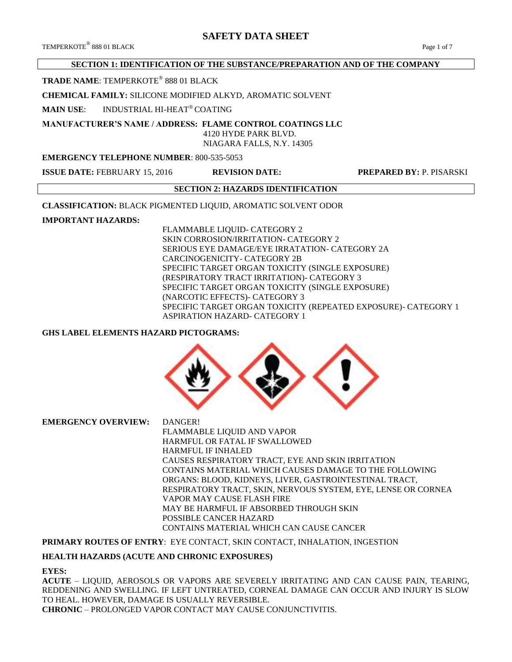TEMPERKOTE<sup>®</sup> 888 01 BLACK 888 01 BLACK Page 1 of 7

# **SECTION 1: IDENTIFICATION OF THE SUBSTANCE/PREPARATION AND OF THE COMPANY**

## **TRADE NAME**: TEMPERKOTE® 888 01 BLACK

## **CHEMICAL FAMILY:** SILICONE MODIFIED ALKYD, AROMATIC SOLVENT

**MAIN USE**: INDUSTRIAL HI-HEAT® COATING

# **MANUFACTURER'S NAME / ADDRESS: FLAME CONTROL COATINGS LLC**

 4120 HYDE PARK BLVD. NIAGARA FALLS, N.Y. 14305

## **EMERGENCY TELEPHONE NUMBER**: 800-535-5053

**ISSUE DATE:** FEBRUARY 15, 2016 **REVISION DATE: PREPARED BY:** P. PISARSKI

## **SECTION 2: HAZARDS IDENTIFICATION**

**CLASSIFICATION:** BLACK PIGMENTED LIQUID, AROMATIC SOLVENT ODOR

## **IMPORTANT HAZARDS:**

FLAMMABLE LIQUID- CATEGORY 2 SKIN CORROSION/IRRITATION- CATEGORY 2 SERIOUS EYE DAMAGE/EYE IRRATATION- CATEGORY 2A CARCINOGENICITY- CATEGORY 2B SPECIFIC TARGET ORGAN TOXICITY (SINGLE EXPOSURE) (RESPIRATORY TRACT IRRITATION)- CATEGORY 3 SPECIFIC TARGET ORGAN TOXICITY (SINGLE EXPOSURE) (NARCOTIC EFFECTS)- CATEGORY 3 SPECIFIC TARGET ORGAN TOXICITY (REPEATED EXPOSURE)- CATEGORY 1 ASPIRATION HAZARD- CATEGORY 1

## **GHS LABEL ELEMENTS HAZARD PICTOGRAMS:**



**EMERGENCY OVERVIEW:** DANGER! FLAMMABLE LIQUID AND VAPOR HARMFUL OR FATAL IF SWALLOWED HARMFUL IF INHALED CAUSES RESPIRATORY TRACT, EYE AND SKIN IRRITATION CONTAINS MATERIAL WHICH CAUSES DAMAGE TO THE FOLLOWING ORGANS: BLOOD, KIDNEYS, LIVER, GASTROINTESTINAL TRACT, RESPIRATORY TRACT, SKIN, NERVOUS SYSTEM, EYE, LENSE OR CORNEA VAPOR MAY CAUSE FLASH FIRE MAY BE HARMFUL IF ABSORBED THROUGH SKIN POSSIBLE CANCER HAZARD CONTAINS MATERIAL WHICH CAN CAUSE CANCER

## **PRIMARY ROUTES OF ENTRY**: EYE CONTACT, SKIN CONTACT, INHALATION, INGESTION

## **HEALTH HAZARDS (ACUTE AND CHRONIC EXPOSURES)**

#### **EYES:**

**ACUTE** – LIQUID, AEROSOLS OR VAPORS ARE SEVERELY IRRITATING AND CAN CAUSE PAIN, TEARING, REDDENING AND SWELLING. IF LEFT UNTREATED, CORNEAL DAMAGE CAN OCCUR AND INJURY IS SLOW TO HEAL. HOWEVER, DAMAGE IS USUALLY REVERSIBLE. **CHRONIC** – PROLONGED VAPOR CONTACT MAY CAUSE CONJUNCTIVITIS.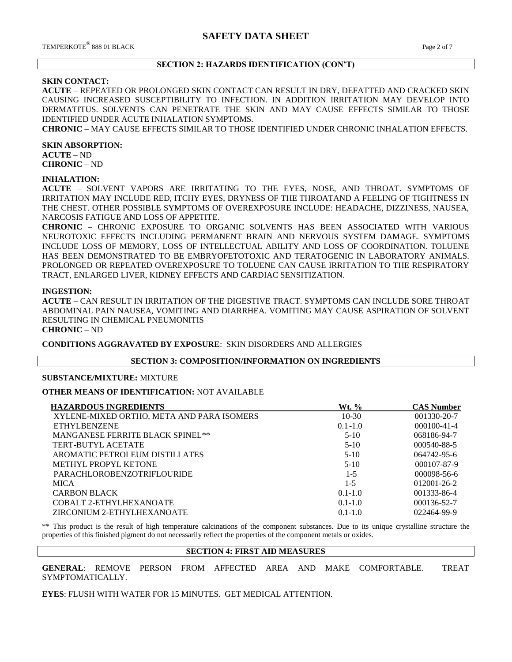## **SECTION 2: HAZARDS IDENTIFICATION (CON'T)**

## **SKIN CONTACT:**

**ACUTE** – REPEATED OR PROLONGED SKIN CONTACT CAN RESULT IN DRY, DEFATTED AND CRACKED SKIN CAUSING INCREASED SUSCEPTIBILITY TO INFECTION. IN ADDITION IRRITATION MAY DEVELOP INTO DERMATITUS. SOLVENTS CAN PENETRATE THE SKIN AND MAY CAUSE EFFECTS SIMILAR TO THOSE IDENTIFIED UNDER ACUTE INHALATION SYMPTOMS.

**CHRONIC** – MAY CAUSE EFFECTS SIMILAR TO THOSE IDENTIFIED UNDER CHRONIC INHALATION EFFECTS.

#### **SKIN ABSORPTION:**

**ACUTE** – ND **CHRONIC** – ND

#### **INHALATION:**

**ACUTE** – SOLVENT VAPORS ARE IRRITATING TO THE EYES, NOSE, AND THROAT. SYMPTOMS OF IRRITATION MAY INCLUDE RED, ITCHY EYES, DRYNESS OF THE THROATAND A FEELING OF TIGHTNESS IN THE CHEST. OTHER POSSIBLE SYMPTOMS OF OVEREXPOSURE INCLUDE: HEADACHE, DIZZINESS, NAUSEA, NARCOSIS FATIGUE AND LOSS OF APPETITE.

**CHRONIC** – CHRONIC EXPOSURE TO ORGANIC SOLVENTS HAS BEEN ASSOCIATED WITH VARIOUS NEUROTOXIC EFFECTS INCLUDING PERMANENT BRAIN AND NERVOUS SYSTEM DAMAGE. SYMPTOMS INCLUDE LOSS OF MEMORY, LOSS OF INTELLECTUAL ABILITY AND LOSS OF COORDINATION. TOLUENE HAS BEEN DEMONSTRATED TO BE EMBRYOFETOTOXIC AND TERATOGENIC IN LABORATORY ANIMALS. PROLONGED OR REPEATED OVEREXPOSURE TO TOLUENE CAN CAUSE IRRITATION TO THE RESPIRATORY TRACT, ENLARGED LIVER, KIDNEY EFFECTS AND CARDIAC SENSITIZATION.

#### **INGESTION:**

**ACUTE** – CAN RESULT IN IRRITATION OF THE DIGESTIVE TRACT. SYMPTOMS CAN INCLUDE SORE THROAT ABDOMINAL PAIN NAUSEA, VOMITING AND DIARRHEA. VOMITING MAY CAUSE ASPIRATION OF SOLVENT RESULTING IN CHEMICAL PNEUMONITIS

# **CHRONIC** – ND

**CONDITIONS AGGRAVATED BY EXPOSURE**: SKIN DISORDERS AND ALLERGIES

#### **SECTION 3: COMPOSITION/INFORMATION ON INGREDIENTS**

#### **SUBSTANCE/MIXTURE:** MIXTURE

#### **OTHER MEANS OF IDENTIFICATION:** NOT AVAILABLE

| <b>HAZARDOUS INGREDIENTS</b>              | Wt. %       | <b>CAS Number</b> |
|-------------------------------------------|-------------|-------------------|
| XYLENE-MIXED ORTHO, META AND PARA ISOMERS | $10-30$     | 001330-20-7       |
| <b>ETHYLBENZENE</b>                       | $0.1 - 1.0$ | $000100 - 41 - 4$ |
| <b>MANGANESE FERRITE BLACK SPINEL**</b>   | $5-10$      | 068186-94-7       |
| TERT-BUTYL ACETATE                        | $5-10$      | 000540-88-5       |
| AROMATIC PETROLEUM DISTILLATES            | $5-10$      | $064742 - 95 - 6$ |
| METHYL PROPYL KETONE                      | $5-10$      | $000107 - 87 - 9$ |
| <b>PARACHLOROBENZOTRIFLOURIDE</b>         | $1 - 5$     | $000098 - 56 - 6$ |
| <b>MICA</b>                               | $1 - 5$     | $012001 - 26 - 2$ |
| <b>CARBON BLACK</b>                       | $0.1 - 1.0$ | 001333-86-4       |
| COBALT 2-ETHYLHEXANOATE                   | $0.1 - 1.0$ | 000136-52-7       |
| ZIRCONIUM 2-ETHYLHEXANOATE                | $0.1 - 1.0$ | 022464-99-9       |

\*\* This product is the result of high temperature calcinations of the component substances. Due to its unique crystalline structure the properties of this finished pigment do not necessarily reflect the properties of the component metals or oxides.

#### **SECTION 4: FIRST AID MEASURES**

**GENERAL**: REMOVE PERSON FROM AFFECTED AREA AND MAKE COMFORTABLE. TREAT SYMPTOMATICALLY.

**EYES**: FLUSH WITH WATER FOR 15 MINUTES. GET MEDICAL ATTENTION.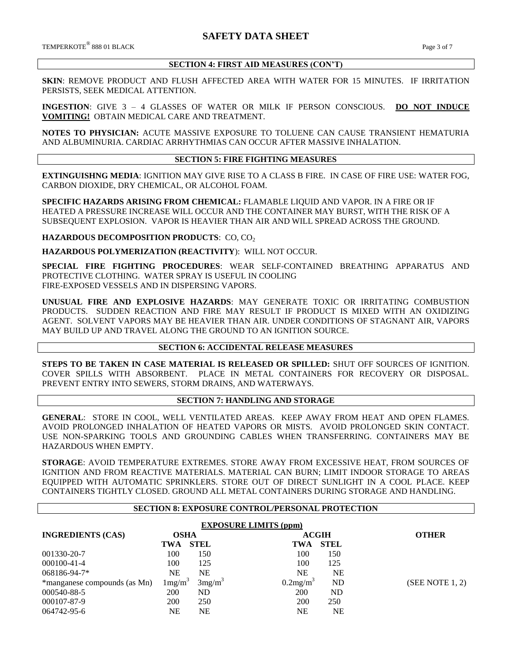$\rm{TEMPERKOTE}^{\circledR}$  888 01 BLACK  $\rm{Page\,3}$  of  $7$ 

## **SECTION 4: FIRST AID MEASURES (CON'T)**

**SKIN**: REMOVE PRODUCT AND FLUSH AFFECTED AREA WITH WATER FOR 15 MINUTES. IF IRRITATION PERSISTS, SEEK MEDICAL ATTENTION.

**INGESTION**: GIVE 3 – 4 GLASSES OF WATER OR MILK IF PERSON CONSCIOUS. **DO NOT INDUCE VOMITING!** OBTAIN MEDICAL CARE AND TREATMENT.

**NOTES TO PHYSICIAN:** ACUTE MASSIVE EXPOSURE TO TOLUENE CAN CAUSE TRANSIENT HEMATURIA AND ALBUMINURIA. CARDIAC ARRHYTHMIAS CAN OCCUR AFTER MASSIVE INHALATION.

## **SECTION 5: FIRE FIGHTING MEASURES**

**EXTINGUISHNG MEDIA**: IGNITION MAY GIVE RISE TO A CLASS B FIRE. IN CASE OF FIRE USE: WATER FOG, CARBON DIOXIDE, DRY CHEMICAL, OR ALCOHOL FOAM.

**SPECIFIC HAZARDS ARISING FROM CHEMICAL:** FLAMABLE LIQUID AND VAPOR. IN A FIRE OR IF HEATED A PRESSURE INCREASE WILL OCCUR AND THE CONTAINER MAY BURST, WITH THE RISK OF A SUBSEQUENT EXPLOSION. VAPOR IS HEAVIER THAN AIR AND WILL SPREAD ACROSS THE GROUND.

**HAZARDOUS DECOMPOSITION PRODUCTS: CO, CO<sub>2</sub>** 

**HAZARDOUS POLYMERIZATION (REACTIVITY**): WILL NOT OCCUR.

**SPECIAL FIRE FIGHTING PROCEDURES**: WEAR SELF-CONTAINED BREATHING APPARATUS AND PROTECTIVE CLOTHING. WATER SPRAY IS USEFUL IN COOLING FIRE-EXPOSED VESSELS AND IN DISPERSING VAPORS.

**UNUSUAL FIRE AND EXPLOSIVE HAZARDS**: MAY GENERATE TOXIC OR IRRITATING COMBUSTION PRODUCTS. SUDDEN REACTION AND FIRE MAY RESULT IF PRODUCT IS MIXED WITH AN OXIDIZING AGENT. SOLVENT VAPORS MAY BE HEAVIER THAN AIR. UNDER CONDITIONS OF STAGNANT AIR, VAPORS MAY BUILD UP AND TRAVEL ALONG THE GROUND TO AN IGNITION SOURCE.

## **SECTION 6: ACCIDENTAL RELEASE MEASURES**

**STEPS TO BE TAKEN IN CASE MATERIAL IS RELEASED OR SPILLED:** SHUT OFF SOURCES OF IGNITION. COVER SPILLS WITH ABSORBENT. PLACE IN METAL CONTAINERS FOR RECOVERY OR DISPOSAL. PREVENT ENTRY INTO SEWERS, STORM DRAINS, AND WATERWAYS.

## **SECTION 7: HANDLING AND STORAGE**

**GENERAL**: STORE IN COOL, WELL VENTILATED AREAS. KEEP AWAY FROM HEAT AND OPEN FLAMES. AVOID PROLONGED INHALATION OF HEATED VAPORS OR MISTS. AVOID PROLONGED SKIN CONTACT. USE NON-SPARKING TOOLS AND GROUNDING CABLES WHEN TRANSFERRING. CONTAINERS MAY BE HAZARDOUS WHEN EMPTY.

**STORAGE**: AVOID TEMPERATURE EXTREMES. STORE AWAY FROM EXCESSIVE HEAT, FROM SOURCES OF IGNITION AND FROM REACTIVE MATERIALS. MATERIAL CAN BURN; LIMIT INDOOR STORAGE TO AREAS EQUIPPED WITH AUTOMATIC SPRINKLERS. STORE OUT OF DIRECT SUNLIGHT IN A COOL PLACE. KEEP CONTAINERS TIGHTLY CLOSED. GROUND ALL METAL CONTAINERS DURING STORAGE AND HANDLING.

## **SECTION 8: EXPOSURE CONTROL/PERSONAL PROTECTION**

| <b>EXPOSURE LIMITS (ppm)</b> |                              |                    |                      |             |                 |
|------------------------------|------------------------------|--------------------|----------------------|-------------|-----------------|
| <b>INGREDIENTS (CAS)</b>     | <b>OSHA</b>                  |                    | <b>ACGIH</b>         |             | <b>OTHER</b>    |
|                              | TWA                          | <b>STEL</b>        | TWA                  | <b>STEL</b> |                 |
| 001330-20-7                  | 100                          | 150                | 100                  | 150         |                 |
| 000100-41-4                  | 100                          | 125                | 100                  | 125         |                 |
| 068186-94-7*                 | <b>NE</b>                    | <b>NE</b>          | <b>NE</b>            | <b>NE</b>   |                 |
| *manganese compounds (as Mn) | $\text{Im}$ g/m <sup>3</sup> | 3mg/m <sup>3</sup> | 0.2mg/m <sup>3</sup> | ND          | (SEE NOTE 1, 2) |
| 000540-88-5                  | 200                          | ND                 | 200                  | ND          |                 |
| 000107-87-9                  | 200                          | 250                | <b>200</b>           | 250         |                 |
| 064742-95-6                  | NE                           | NΕ                 | NE                   | NΕ          |                 |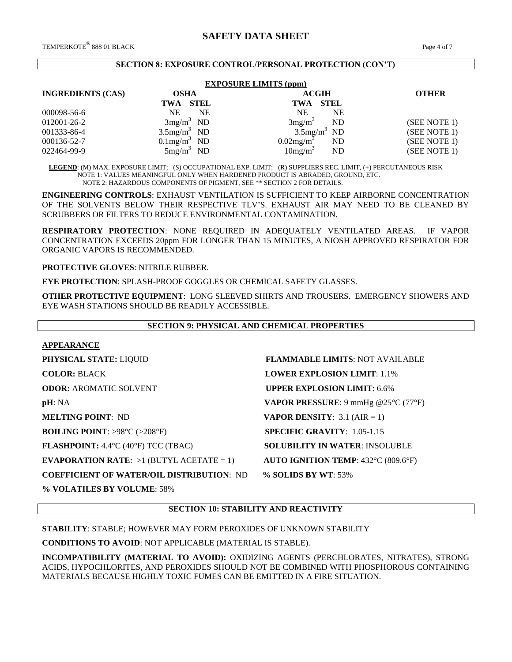#### **SECTION 8: EXPOSURE CONTROL/PERSONAL PROTECTION (CON'T)**

| <b>EXPOSURE LIMITS (ppm)</b> |                            |                                 |              |  |  |
|------------------------------|----------------------------|---------------------------------|--------------|--|--|
| <b>INGREDIENTS (CAS)</b>     | <b>OSHA</b>                | <b>ACGIH</b>                    | <b>OTHER</b> |  |  |
|                              | <b>STEL</b><br>TWA         | TWA STEL                        |              |  |  |
| 000098-56-6                  | NE<br><b>NE</b>            | <b>NE</b><br><b>NE</b>          |              |  |  |
| 012001-26-2                  | $3mg/m3$ ND                | 3mg/m <sup>3</sup><br><b>ND</b> | (SEE NOTE 1) |  |  |
| 001333-86-4                  | $3.5$ mg/m <sup>3</sup> ND | $3.5$ mg/m <sup>3</sup> ND      | (SEE NOTE 1) |  |  |
| 000136-52-7                  | $0.1$ mg/m <sup>3</sup> ND | $0.02$ mg/m <sup>3</sup><br>ND  | (SEE NOTE 1) |  |  |
| 022464-99-9                  | $5mg/m^3$ ND               | 10mg/m <sup>3</sup><br>ND       | (SEE NOTE 1) |  |  |

 **LEGEND**: (M) MAX. EXPOSURE LIMIT; (S) OCCUPATIONAL EXP. LIMIT; (R) SUPPLIERS REC. LIMIT, (+) PERCUTANEOUS RISK NOTE 1: VALUES MEANINGFUL ONLY WHEN HARDENED PRODUCT IS ABRADED, GROUND, ETC. NOTE 2: HAZARDOUS COMPONENTS OF PIGMENT, SEE \*\* SECTION 2 FOR DETAILS.

**ENGINEERING CONTROLS**: EXHAUST VENTILATION IS SUFFICIENT TO KEEP AIRBORNE CONCENTRATION OF THE SOLVENTS BELOW THEIR RESPECTIVE TLV'S. EXHAUST AIR MAY NEED TO BE CLEANED BY SCRUBBERS OR FILTERS TO REDUCE ENVIRONMENTAL CONTAMINATION.

**RESPIRATORY PROTECTION**: NONE REQUIRED IN ADEQUATELY VENTILATED AREAS. IF VAPOR CONCENTRATION EXCEEDS 20ppm FOR LONGER THAN 15 MINUTES, A NIOSH APPROVED RESPIRATOR FOR ORGANIC VAPORS IS RECOMMENDED.

**PROTECTIVE GLOVES**: NITRILE RUBBER.

**EYE PROTECTION**: SPLASH-PROOF GOGGLES OR CHEMICAL SAFETY GLASSES.

**OTHER PROTECTIVE EQUIPMENT**: LONG SLEEVED SHIRTS AND TROUSERS. EMERGENCY SHOWERS AND EYE WASH STATIONS SHOULD BE READILY ACCESSIBLE.

## **SECTION 9: PHYSICAL AND CHEMICAL PROPERTIES**

## **APPEARANCE**

**PHYSICAL STATE:** LIQUID **FLAMMABLE LIMITS**: NOT AVAILABLE **COLOR:** BLACK **LOWER EXPLOSION LIMIT**: 1.1% **ODOR: AROMATIC SOLVENT <b>UPPER EXPLOSION LIMIT**: 6.6% **pH**: NA **VAPOR PRESSURE**: 9 mmHg @25°C (77°F) **MELTING POINT**: ND **VAPOR DENSITY**: 3.1 (AIR = 1) **BOILING POINT**: >98°C (>208°F) **SPECIFIC GRAVITY**: 1.05-1.15 **FLASHPOINT:** 4.4°C (40°F) TCC (TBAC) **SOLUBILITY IN WATER**: INSOLUBLE **EVAPORATION RATE:**  $>1$  (BUTYL ACETATE = 1) **AUTO IGNITION TEMP**: 432°C (809.6°F) **COEFFICIENT OF WATER/OIL DISTRIBUTION**: ND **% SOLIDS BY WT**: 53% **% VOLATILES BY VOLUME**: 58%

**SECTION 10: STABILITY AND REACTIVITY**

**STABILITY**: STABLE; HOWEVER MAY FORM PEROXIDES OF UNKNOWN STABILITY

**CONDITIONS TO AVOID**: NOT APPLICABLE (MATERIAL IS STABLE).

**INCOMPATIBILITY (MATERIAL TO AVOID):** OXIDIZING AGENTS (PERCHLORATES, NITRATES), STRONG ACIDS, HYPOCHLORITES, AND PEROXIDES SHOULD NOT BE COMBINED WITH PHOSPHOROUS CONTAINING MATERIALS BECAUSE HIGHLY TOXIC FUMES CAN BE EMITTED IN A FIRE SITUATION.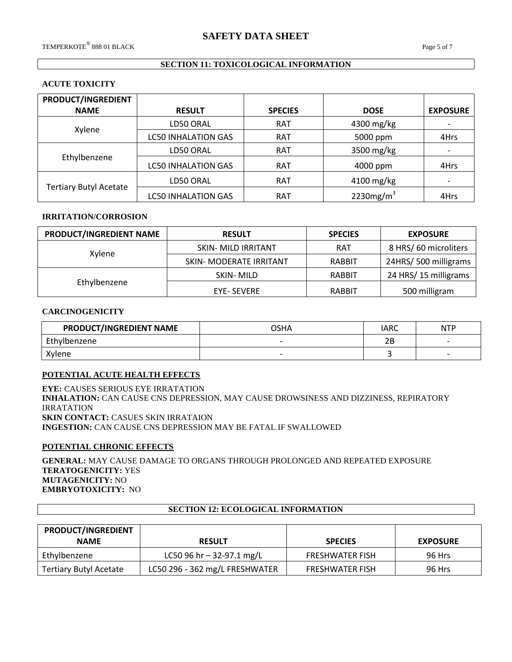## **SECTION 11: TOXICOLOGICAL INFORMATION**

## **ACUTE TOXICITY**

| <b>PRODUCT/INGREDIENT</b>     |                            |                |              |                          |
|-------------------------------|----------------------------|----------------|--------------|--------------------------|
| <b>NAME</b>                   | <b>RESULT</b>              | <b>SPECIES</b> | <b>DOSE</b>  | <b>EXPOSURE</b>          |
| Xylene                        | LD50 ORAL                  | <b>RAT</b>     | 4300 mg/kg   |                          |
|                               | <b>LC50 INHALATION GAS</b> | <b>RAT</b>     | 5000 ppm     | 4Hrs                     |
|                               | LD50 ORAL                  | <b>RAT</b>     | 3500 mg/kg   |                          |
| Ethylbenzene                  | <b>LC50 INHALATION GAS</b> | <b>RAT</b>     | 4000 ppm     | 4Hrs                     |
| <b>Tertiary Butyl Acetate</b> | LD50 ORAL                  | <b>RAT</b>     | 4100 mg/kg   | $\overline{\phantom{0}}$ |
|                               | <b>LC50 INHALATION GAS</b> | <b>RAT</b>     | 2230 $mg/m3$ | 4Hrs                     |

## **IRRITATION/CORROSION**

| PRODUCT/INGREDIENT NAME | <b>RESULT</b>           |               | <b>EXPOSURE</b>      |
|-------------------------|-------------------------|---------------|----------------------|
|                         | SKIN- MILD IRRITANT     | <b>RAT</b>    | 8 HRS/60 microliters |
| Xylene                  | SKIN- MODERATE IRRITANT | <b>RABBIT</b> | 24HRS/500 milligrams |
|                         | SKIN-MILD               | RABBIT        | 24 HRS/15 milligrams |
| Ethylbenzene            | <b>EYE- SEVERE</b>      | RABBIT        | 500 milligram        |

#### **CARCINOGENICITY**

| PRODUCT/INGREDIENT NAME | OSHA                     | IARC      | <b>NTP</b> |
|-------------------------|--------------------------|-----------|------------|
| Ethylbenzene            | $\overline{\phantom{0}}$ | ח ר<br>∠⊡ | -          |
| Xylene                  | $\overline{\phantom{0}}$ |           |            |

#### **POTENTIAL ACUTE HEALTH EFFECTS**

**EYE:** CAUSES SERIOUS EYE IRRATATION **INHALATION:** CAN CAUSE CNS DEPRESSION, MAY CAUSE DROWSINESS AND DIZZINESS, REPIRATORY IRRATATION **SKIN CONTACT:** CASUES SKIN IRRATAION **INGESTION:** CAN CAUSE CNS DEPRESSION MAY BE FATAL IF SWALLOWED

# **POTENTIAL CHRONIC EFFECTS**

**GENERAL:** MAY CAUSE DAMAGE TO ORGANS THROUGH PROLONGED AND REPEATED EXPOSURE **TERATOGENICITY:** YES **MUTAGENICITY:** NO **EMBRYOTOXICITY:** NO

## **SECTION 12: ECOLOGICAL INFORMATION**

| PRODUCT/INGREDIENT<br><b>NAME</b> | <b>RESULT</b>                  | <b>SPECIES</b>         | <b>EXPOSURE</b> |
|-----------------------------------|--------------------------------|------------------------|-----------------|
| Ethylbenzene                      | LC50 96 hr $-$ 32-97.1 mg/L    | <b>FRESHWATER FISH</b> | 96 Hrs          |
| <b>Tertiary Butyl Acetate</b>     | LC50 296 - 362 mg/L FRESHWATER | <b>FRESHWATER FISH</b> | 96 Hrs          |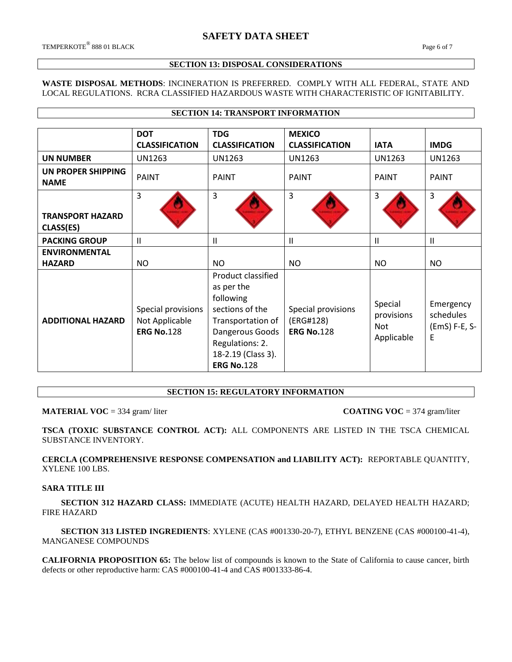#### **SECTION 13: DISPOSAL CONSIDERATIONS**

## **WASTE DISPOSAL METHODS**: INCINERATION IS PREFERRED. COMPLY WITH ALL FEDERAL, STATE AND LOCAL REGULATIONS. RCRA CLASSIFIED HAZARDOUS WASTE WITH CHARACTERISTIC OF IGNITABILITY.

**SECTION 14: TRANSPORT INFORMATION**

|                                      | <b>DOT</b><br><b>CLASSIFICATION</b>                       | <b>TDG</b><br><b>CLASSIFICATION</b>                                                                                                                                    | <b>MEXICO</b><br><b>CLASSIFICATION</b>               | <b>IATA</b>                                       | <b>IMDG</b>                                  |
|--------------------------------------|-----------------------------------------------------------|------------------------------------------------------------------------------------------------------------------------------------------------------------------------|------------------------------------------------------|---------------------------------------------------|----------------------------------------------|
| <b>UN NUMBER</b>                     | UN1263                                                    | UN1263                                                                                                                                                                 | UN1263                                               | UN1263                                            | UN1263                                       |
| UN PROPER SHIPPING<br><b>NAME</b>    | <b>PAINT</b>                                              | <b>PAINT</b>                                                                                                                                                           | <b>PAINT</b>                                         | <b>PAINT</b>                                      | <b>PAINT</b>                                 |
| <b>TRANSPORT HAZARD</b><br>CLASS(ES) | 3                                                         | 3                                                                                                                                                                      | 3                                                    | 3                                                 | 3                                            |
| <b>PACKING GROUP</b>                 | $\mathbf{II}$                                             | $\mathbf{H}$                                                                                                                                                           | $\mathsf{I}$                                         | Ш                                                 | Ш                                            |
| <b>ENVIRONMENTAL</b>                 |                                                           |                                                                                                                                                                        |                                                      |                                                   |                                              |
| <b>HAZARD</b>                        | <b>NO</b>                                                 | <b>NO</b>                                                                                                                                                              | <b>NO</b>                                            | <b>NO</b>                                         | <b>NO</b>                                    |
| <b>ADDITIONAL HAZARD</b>             | Special provisions<br>Not Applicable<br><b>ERG No.128</b> | Product classified<br>as per the<br>following<br>sections of the<br>Transportation of<br>Dangerous Goods<br>Regulations: 2.<br>18-2.19 (Class 3).<br><b>ERG No.128</b> | Special provisions<br>(ERG#128)<br><b>ERG No.128</b> | Special<br>provisions<br><b>Not</b><br>Applicable | Emergency<br>schedules<br>(EmS) F-E, S-<br>E |

## **SECTION 15: REGULATORY INFORMATION**

#### **MATERIAL VOC** = 334 gram/liter **COATING VOC** = 374 gram/liter

**TSCA (TOXIC SUBSTANCE CONTROL ACT):** ALL COMPONENTS ARE LISTED IN THE TSCA CHEMICAL SUBSTANCE INVENTORY.

**CERCLA (COMPREHENSIVE RESPONSE COMPENSATION and LIABILITY ACT):** REPORTABLE QUANTITY, XYLENE 100 LBS.

## **SARA TITLE III**

 **SECTION 312 HAZARD CLASS:** IMMEDIATE (ACUTE) HEALTH HAZARD, DELAYED HEALTH HAZARD; FIRE HAZARD

 **SECTION 313 LISTED INGREDIENTS**: XYLENE (CAS #001330-20-7), ETHYL BENZENE (CAS #000100-41-4), MANGANESE COMPOUNDS

**CALIFORNIA PROPOSITION 65:** The below list of compounds is known to the State of California to cause cancer, birth defects or other reproductive harm: CAS #000100-41-4 and CAS #001333-86-4.